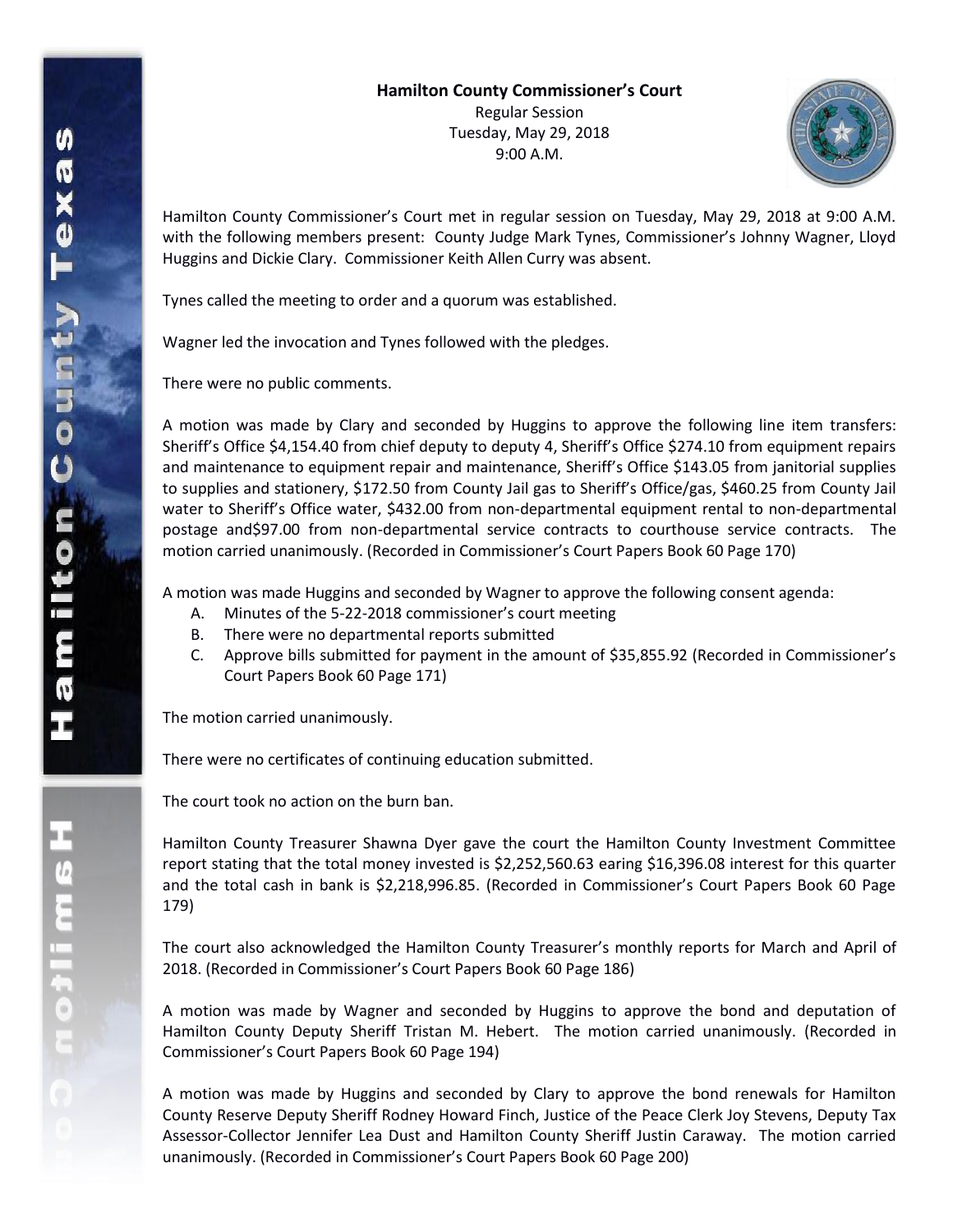

Hamilton County Commissioner's Court met in regular session on Tuesday, May 29, 2018 at 9:00 A.M. with the following members present: County Judge Mark Tynes, Commissioner's Johnny Wagner, Lloyd Huggins and Dickie Clary. Commissioner Keith Allen Curry was absent.

Tynes called the meeting to order and a quorum was established.

Wagner led the invocation and Tynes followed with the pledges.

There were no public comments.

A motion was made by Clary and seconded by Huggins to approve the following line item transfers: Sheriff's Office \$4,154.40 from chief deputy to deputy 4, Sheriff's Office \$274.10 from equipment repairs and maintenance to equipment repair and maintenance, Sheriff's Office \$143.05 from janitorial supplies to supplies and stationery, \$172.50 from County Jail gas to Sheriff's Office/gas, \$460.25 from County Jail water to Sheriff's Office water, \$432.00 from non-departmental equipment rental to non-departmental postage and\$97.00 from non-departmental service contracts to courthouse service contracts. The motion carried unanimously. (Recorded in Commissioner's Court Papers Book 60 Page 170)

A motion was made Huggins and seconded by Wagner to approve the following consent agenda:

- A. Minutes of the 5-22-2018 commissioner's court meeting
- B. There were no departmental reports submitted
- C. Approve bills submitted for payment in the amount of \$35,855.92 (Recorded in Commissioner's Court Papers Book 60 Page 171)

The motion carried unanimously.

There were no certificates of continuing education submitted.

The court took no action on the burn ban.

Hamilton County Treasurer Shawna Dyer gave the court the Hamilton County Investment Committee report stating that the total money invested is \$2,252,560.63 earing \$16,396.08 interest for this quarter and the total cash in bank is \$2,218,996.85. (Recorded in Commissioner's Court Papers Book 60 Page 179)

The court also acknowledged the Hamilton County Treasurer's monthly reports for March and April of 2018. (Recorded in Commissioner's Court Papers Book 60 Page 186)

A motion was made by Wagner and seconded by Huggins to approve the bond and deputation of Hamilton County Deputy Sheriff Tristan M. Hebert. The motion carried unanimously. (Recorded in Commissioner's Court Papers Book 60 Page 194)

A motion was made by Huggins and seconded by Clary to approve the bond renewals for Hamilton County Reserve Deputy Sheriff Rodney Howard Finch, Justice of the Peace Clerk Joy Stevens, Deputy Tax Assessor-Collector Jennifer Lea Dust and Hamilton County Sheriff Justin Caraway. The motion carried unanimously. (Recorded in Commissioner's Court Papers Book 60 Page 200)